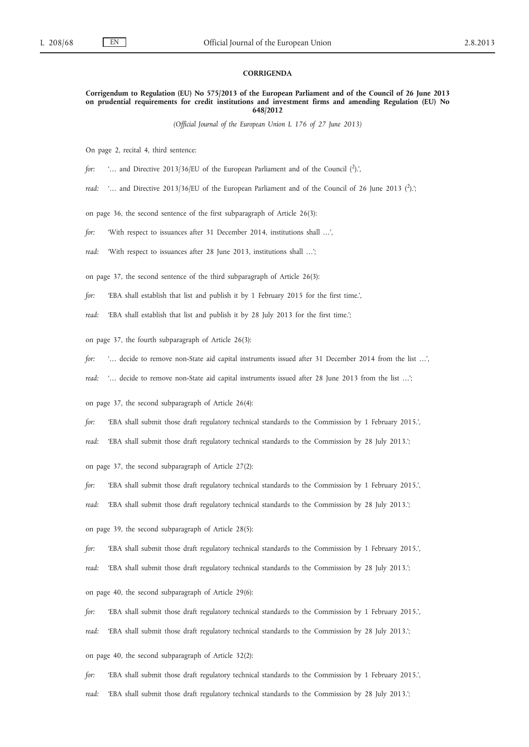## **CORRIGENDA**

**Corrigendum to Regulation (EU) No 575/2013 of the European Parliament and of the Council of 26 June 2013 on prudential requirements for credit institutions and investment firms and amending Regulation (EU) No 648/2012**

*(Official Journal of the European Union L 176 of 27 June 2013)*

On page 2, recital 4, third sentence:

*for*: '... and Directive 2013/36/EU of the European Parliament and of the Council (2).',

*read:* '... and Directive 2013/36/EU of the European Parliament and of the Council of 26 June 2013 (<sup>2</sup>).';

on page 36, the second sentence of the first subparagraph of Article 26(3):

*for:* 'With respect to issuances after 31 December 2014, institutions shall …',

*read:* 'With respect to issuances after 28 June 2013, institutions shall …';

on page 37, the second sentence of the third subparagraph of Article 26(3):

*for:* 'EBA shall establish that list and publish it by 1 February 2015 for the first time.',

*read:* 'EBA shall establish that list and publish it by 28 July 2013 for the first time.';

on page 37, the fourth subparagraph of Article 26(3):

*for:* '… decide to remove non-State aid capital instruments issued after 31 December 2014 from the list …',

*read:* '… decide to remove non-State aid capital instruments issued after 28 June 2013 from the list …';

on page 37, the second subparagraph of Article 26(4):

*for:* 'EBA shall submit those draft regulatory technical standards to the Commission by 1 February 2015.',

*read:* 'EBA shall submit those draft regulatory technical standards to the Commission by 28 July 2013.';

on page 37, the second subparagraph of Article 27(2):

*for:* 'EBA shall submit those draft regulatory technical standards to the Commission by 1 February 2015.',

*read:* 'EBA shall submit those draft regulatory technical standards to the Commission by 28 July 2013.';

on page 39, the second subparagraph of Article 28(5):

*for:* 'EBA shall submit those draft regulatory technical standards to the Commission by 1 February 2015.',

*read:* 'EBA shall submit those draft regulatory technical standards to the Commission by 28 July 2013.';

on page 40, the second subparagraph of Article 29(6):

*for:* 'EBA shall submit those draft regulatory technical standards to the Commission by 1 February 2015.',

*read:* 'EBA shall submit those draft regulatory technical standards to the Commission by 28 July 2013.';

on page 40, the second subparagraph of Article 32(2):

*for:* 'EBA shall submit those draft regulatory technical standards to the Commission by 1 February 2015.',

*read:* 'EBA shall submit those draft regulatory technical standards to the Commission by 28 July 2013.';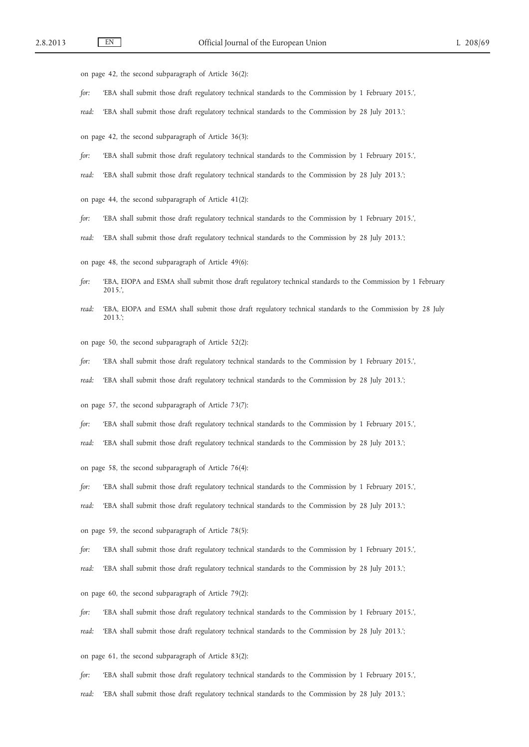on page 42, the second subparagraph of Article 36(2):

- *for:* 'EBA shall submit those draft regulatory technical standards to the Commission by 1 February 2015.',
- *read:* 'EBA shall submit those draft regulatory technical standards to the Commission by 28 July 2013.';
- on page 42, the second subparagraph of Article 36(3):
- *for:* 'EBA shall submit those draft regulatory technical standards to the Commission by 1 February 2015.',
- *read:* 'EBA shall submit those draft regulatory technical standards to the Commission by 28 July 2013.';
- on page 44, the second subparagraph of Article 41(2):
- *for:* 'EBA shall submit those draft regulatory technical standards to the Commission by 1 February 2015.',
- *read:* 'EBA shall submit those draft regulatory technical standards to the Commission by 28 July 2013.';
- on page 48, the second subparagraph of Article 49(6):
- *for:* 'EBA, EIOPA and ESMA shall submit those draft regulatory technical standards to the Commission by 1 February 2015.',
- *read:* 'EBA, EIOPA and ESMA shall submit those draft regulatory technical standards to the Commission by 28 July 2013.';
- on page 50, the second subparagraph of Article 52(2):
- *for:* 'EBA shall submit those draft regulatory technical standards to the Commission by 1 February 2015.',
- *read:* 'EBA shall submit those draft regulatory technical standards to the Commission by 28 July 2013.';
- on page 57, the second subparagraph of Article 73(7):
- *for:* 'EBA shall submit those draft regulatory technical standards to the Commission by 1 February 2015.',
- *read:* 'EBA shall submit those draft regulatory technical standards to the Commission by 28 July 2013.';
- on page 58, the second subparagraph of Article 76(4):
- *for:* 'EBA shall submit those draft regulatory technical standards to the Commission by 1 February 2015.',
- *read:* 'EBA shall submit those draft regulatory technical standards to the Commission by 28 July 2013.';
- on page 59, the second subparagraph of Article 78(5):
- *for:* 'EBA shall submit those draft regulatory technical standards to the Commission by 1 February 2015.',
- *read:* 'EBA shall submit those draft regulatory technical standards to the Commission by 28 July 2013.';
- on page 60, the second subparagraph of Article 79(2):
- *for:* 'EBA shall submit those draft regulatory technical standards to the Commission by 1 February 2015.',
- *read:* 'EBA shall submit those draft regulatory technical standards to the Commission by 28 July 2013.';
- on page 61, the second subparagraph of Article 83(2):
- *for:* 'EBA shall submit those draft regulatory technical standards to the Commission by 1 February 2015.',
- *read:* 'EBA shall submit those draft regulatory technical standards to the Commission by 28 July 2013.';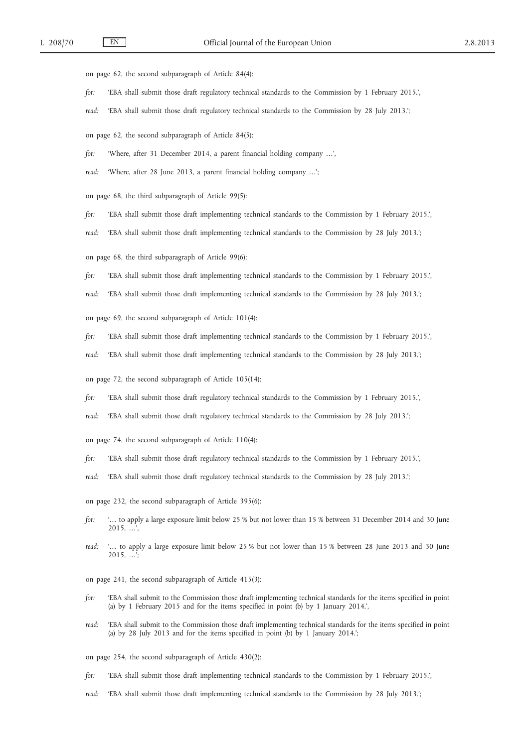on page 62, the second subparagraph of Article 84(4):

- *for:* 'EBA shall submit those draft regulatory technical standards to the Commission by 1 February 2015.',
- *read:* 'EBA shall submit those draft regulatory technical standards to the Commission by 28 July 2013.';

on page 62, the second subparagraph of Article 84(5):

*for:* 'Where, after 31 December 2014, a parent financial holding company …',

*read:* 'Where, after 28 June 2013, a parent financial holding company …';

on page 68, the third subparagraph of Article 99(5):

*for:* 'EBA shall submit those draft implementing technical standards to the Commission by 1 February 2015.',

*read:* 'EBA shall submit those draft implementing technical standards to the Commission by 28 July 2013.';

on page 68, the third subparagraph of Article 99(6):

*for:* 'EBA shall submit those draft implementing technical standards to the Commission by 1 February 2015.',

*read:* 'EBA shall submit those draft implementing technical standards to the Commission by 28 July 2013.';

on page 69, the second subparagraph of Article 101(4):

*for:* 'EBA shall submit those draft implementing technical standards to the Commission by 1 February 2015.',

*read:* 'EBA shall submit those draft implementing technical standards to the Commission by 28 July 2013.';

on page 72, the second subparagraph of Article 105(14):

*for:* 'EBA shall submit those draft regulatory technical standards to the Commission by 1 February 2015.',

*read:* 'EBA shall submit those draft regulatory technical standards to the Commission by 28 July 2013.';

- on page 74, the second subparagraph of Article 110(4):
- *for:* 'EBA shall submit those draft regulatory technical standards to the Commission by 1 February 2015.',
- *read:* 'EBA shall submit those draft regulatory technical standards to the Commission by 28 July 2013.';
- on page 232, the second subparagraph of Article 395(6):
- *for:* '… to apply a large exposure limit below 25 % but not lower than 15 % between 31 December 2014 and 30 June 2015, …',
- *read:* '… to apply a large exposure limit below 25 % but not lower than 15 % between 28 June 2013 and 30 June  $2015, \ldots$

on page 241, the second subparagraph of Article 415(3):

- *for:* 'EBA shall submit to the Commission those draft implementing technical standards for the items specified in point (a) by 1 February 2015 and for the items specified in point (b) by 1 January 2014.',
- *read:* 'EBA shall submit to the Commission those draft implementing technical standards for the items specified in point (a) by 28 July 2013 and for the items specified in point (b) by 1 January 2014.';
- on page 254, the second subparagraph of Article 430(2):
- *for:* 'EBA shall submit those draft implementing technical standards to the Commission by 1 February 2015.',
- *read:* 'EBA shall submit those draft implementing technical standards to the Commission by 28 July 2013.';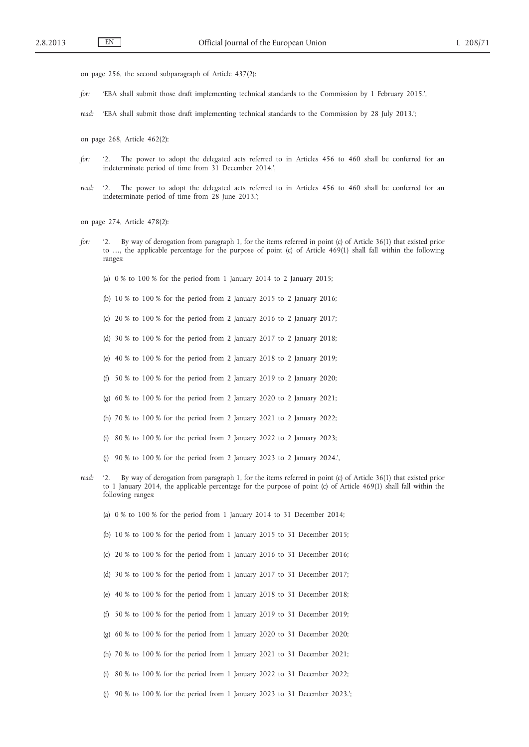- on page 256, the second subparagraph of Article 437(2):
- *for:* 'EBA shall submit those draft implementing technical standards to the Commission by 1 February 2015.',
- *read:* 'EBA shall submit those draft implementing technical standards to the Commission by 28 July 2013.';
- on page 268, Article 462(2):
- *for:* '2. The power to adopt the delegated acts referred to in Articles 456 to 460 shall be conferred for an indeterminate period of time from 31 December 2014.',
- *read:* '2. The power to adopt the delegated acts referred to in Articles 456 to 460 shall be conferred for an indeterminate period of time from 28 June 2013.';

on page 274, Article 478(2):

- *for:* '2. By way of derogation from paragraph 1, for the items referred in point (c) of Article 36(1) that existed prior to …, the applicable percentage for the purpose of point (c) of Article 469(1) shall fall within the following ranges:
	- (a) 0 % to 100 % for the period from 1 January 2014 to 2 January 2015;
	- (b) 10 % to 100 % for the period from 2 January 2015 to 2 January 2016;
	- (c)  $20\%$  to  $100\%$  for the period from 2 January 2016 to 2 January 2017;
	- (d) 30 % to 100 % for the period from 2 January 2017 to 2 January 2018;
	- (e) 40 % to 100 % for the period from 2 January 2018 to 2 January 2019;
	- (f) 50 % to 100 % for the period from 2 January 2019 to 2 January 2020;
	- (g) 60 % to 100 % for the period from 2 January 2020 to 2 January 2021;
	- (h) 70 % to 100 % for the period from 2 January 2021 to 2 January 2022;
	- (i)  $80\%$  to  $100\%$  for the period from 2 January 2022 to 2 January 2023;
	- (j) 90 % to 100 % for the period from 2 January 2023 to 2 January 2024.',
- *read:* '2. By way of derogation from paragraph 1, for the items referred in point (c) of Article 36(1) that existed prior to 1 January 2014, the applicable percentage for the purpose of point (c) of Article 469(1) shall fall within the following ranges:
	- (a) 0 % to 100 % for the period from 1 January 2014 to 31 December 2014;
	- (b) 10 % to 100 % for the period from 1 January 2015 to 31 December 2015;
	- (c) 20 % to 100 % for the period from 1 January 2016 to 31 December 2016;
	- (d) 30 % to 100 % for the period from 1 January 2017 to 31 December 2017;
	- (e) 40 % to 100 % for the period from 1 January 2018 to 31 December 2018;
	- (f) 50 % to 100 % for the period from 1 January 2019 to 31 December 2019;
	- (g) 60 % to 100 % for the period from 1 January 2020 to 31 December 2020;
	- (h) 70 % to 100 % for the period from 1 January 2021 to 31 December 2021;
	- (i) 80 % to 100 % for the period from 1 January 2022 to 31 December 2022;
	- (j) 90 % to 100 % for the period from 1 January 2023 to 31 December 2023.';